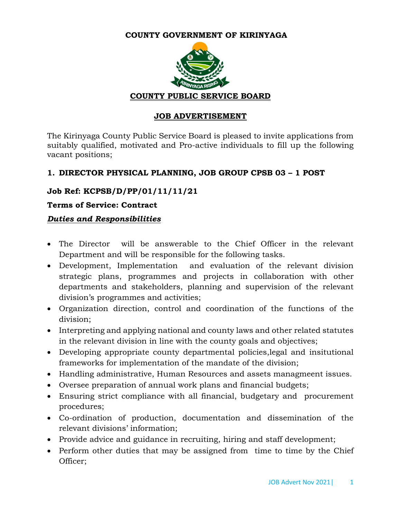#### **COUNTY GOVERNMENT OF KIRINYAGA**



#### **JOB ADVERTISEMENT**

The Kirinyaga County Public Service Board is pleased to invite applications from suitably qualified, motivated and Pro-active individuals to fill up the following vacant positions;

### **1. DIRECTOR PHYSICAL PLANNING, JOB GROUP CPSB 03 – 1 POST**

### **Job Ref: KCPSB/D/PP/01/11/11/21**

#### **Terms of Service: Contract**

#### *Duties and Responsibilities*

- The Director will be answerable to the Chief Officer in the relevant Department and will be responsible for the following tasks.
- Development, Implementation and evaluation of the relevant division strategic plans, programmes and projects in collaboration with other departments and stakeholders, planning and supervision of the relevant division's programmes and activities;
- Organization direction, control and coordination of the functions of the division;
- Interpreting and applying national and county laws and other related statutes in the relevant division in line with the county goals and objectives;
- Developing appropriate county departmental policies,legal and insitutional frameworks for implementation of the mandate of the division;
- Handling administrative, Human Resources and assets managmeent issues.
- Oversee preparation of annual work plans and financial budgets;
- Ensuring strict compliance with all financial, budgetary and procurement procedures;
- Co-ordination of production, documentation and dissemination of the relevant divisions' information;
- Provide advice and guidance in recruiting, hiring and staff development;
- Perform other duties that may be assigned from time to time by the Chief Officer;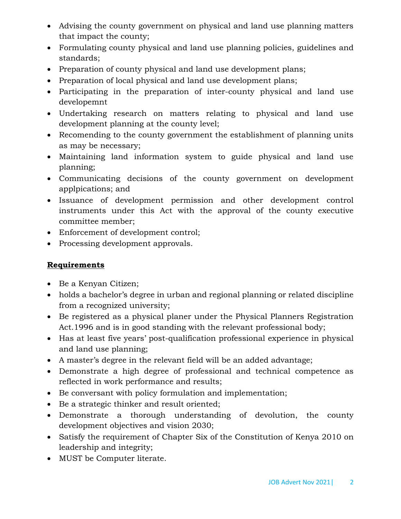- Advising the county government on physical and land use planning matters that impact the county;
- Formulating county physical and land use planning policies, guidelines and standards;
- Preparation of county physical and land use development plans;
- Preparation of local physical and land use development plans;
- Participating in the preparation of inter-county physical and land use developemnt
- Undertaking research on matters relating to physical and land use development planning at the county level;
- Recomending to the county government the establishment of planning units as may be necessary;
- Maintaining land information system to guide physical and land use planning;
- Communicating decisions of the county government on development applpications; and
- Issuance of development permission and other development control instruments under this Act with the approval of the county executive committee member;
- Enforcement of development control;
- Processing development approvals.

# **Requirements**

- Be a Kenyan Citizen;
- holds a bachelor's degree in urban and regional planning or related discipline from a recognized university;
- Be registered as a physical planer under the Physical Planners Registration Act.1996 and is in good standing with the relevant professional body;
- Has at least five years' post-qualification professional experience in physical and land use planning;
- A master's degree in the relevant field will be an added advantage;
- Demonstrate a high degree of professional and technical competence as reflected in work performance and results;
- Be conversant with policy formulation and implementation;
- Be a strategic thinker and result oriented;
- Demonstrate a thorough understanding of devolution, the county development objectives and vision 2030;
- Satisfy the requirement of Chapter Six of the Constitution of Kenya 2010 on leadership and integrity;
- MUST be Computer literate.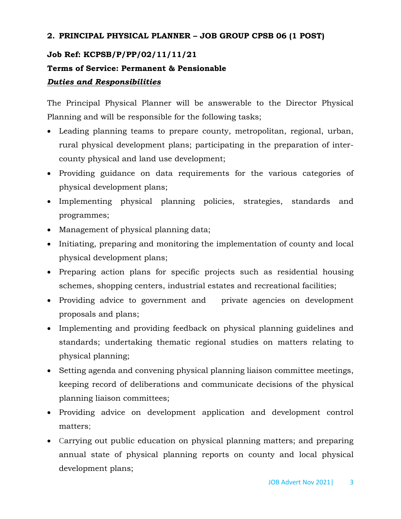### **2. PRINCIPAL PHYSICAL PLANNER – JOB GROUP CPSB 06 (1 POST)**

## **Job Ref: KCPSB/P/PP/02/11/11/21**

# **Terms of Service: Permanent & Pensionable**

### *Duties and Responsibilities*

The Principal Physical Planner will be answerable to the Director Physical Planning and will be responsible for the following tasks;

- Leading planning teams to prepare county, metropolitan, regional, urban, rural physical development plans; participating in the preparation of intercounty physical and land use development;
- Providing guidance on data requirements for the various categories of physical development plans;
- Implementing physical planning policies, strategies, standards and programmes;
- Management of physical planning data;
- Initiating, preparing and monitoring the implementation of county and local physical development plans;
- Preparing action plans for specific projects such as residential housing schemes, shopping centers, industrial estates and recreational facilities;
- Providing advice to government and private agencies on development proposals and plans;
- Implementing and providing feedback on physical planning guidelines and standards; undertaking thematic regional studies on matters relating to physical planning;
- Setting agenda and convening physical planning liaison committee meetings, keeping record of deliberations and communicate decisions of the physical planning liaison committees;
- Providing advice on development application and development control matters;
- Carrying out public education on physical planning matters; and preparing annual state of physical planning reports on county and local physical development plans;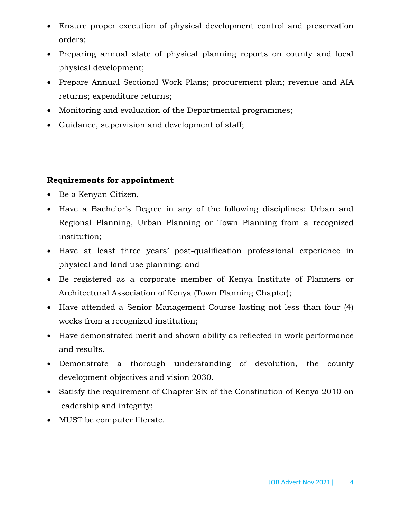- Ensure proper execution of physical development control and preservation orders;
- Preparing annual state of physical planning reports on county and local physical development;
- Prepare Annual Sectional Work Plans; procurement plan; revenue and AIA returns; expenditure returns;
- Monitoring and evaluation of the Departmental programmes;
- Guidance, supervision and development of staff;

### **Requirements for appointment**

- Be a Kenyan Citizen,
- Have a Bachelor's Degree in any of the following disciplines: Urban and Regional Planning, Urban Planning or Town Planning from a recognized institution;
- Have at least three years' post-qualification professional experience in physical and land use planning; and
- Be registered as a corporate member of Kenya Institute of Planners or Architectural Association of Kenya (Town Planning Chapter);
- Have attended a Senior Management Course lasting not less than four (4) weeks from a recognized institution;
- Have demonstrated merit and shown ability as reflected in work performance and results.
- Demonstrate a thorough understanding of devolution, the county development objectives and vision 2030.
- Satisfy the requirement of Chapter Six of the Constitution of Kenya 2010 on leadership and integrity;
- MUST be computer literate.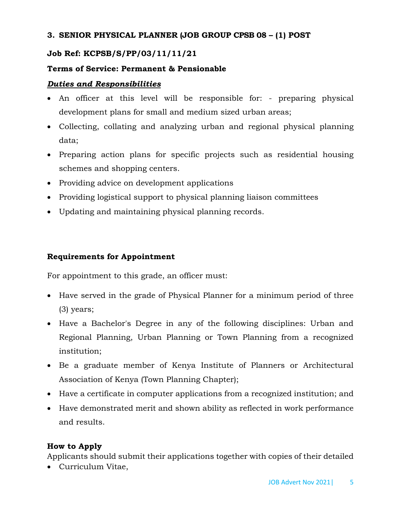### **3. SENIOR PHYSICAL PLANNER (JOB GROUP CPSB 08 – (1) POST**

## **Job Ref: KCPSB/S/PP/03/11/11/21**

### **Terms of Service: Permanent & Pensionable**

### *Duties and Responsibilities*

- An officer at this level will be responsible for: preparing physical development plans for small and medium sized urban areas;
- Collecting, collating and analyzing urban and regional physical planning data;
- Preparing action plans for specific projects such as residential housing schemes and shopping centers.
- Providing advice on development applications
- Providing logistical support to physical planning liaison committees
- Updating and maintaining physical planning records.

## **Requirements for Appointment**

For appointment to this grade, an officer must:

- Have served in the grade of Physical Planner for a minimum period of three (3) years;
- Have a Bachelor's Degree in any of the following disciplines: Urban and Regional Planning, Urban Planning or Town Planning from a recognized institution;
- Be a graduate member of Kenya Institute of Planners or Architectural Association of Kenya (Town Planning Chapter);
- Have a certificate in computer applications from a recognized institution; and
- Have demonstrated merit and shown ability as reflected in work performance and results.

### **How to Apply**

Applicants should submit their applications together with copies of their detailed

Curriculum Vitae,